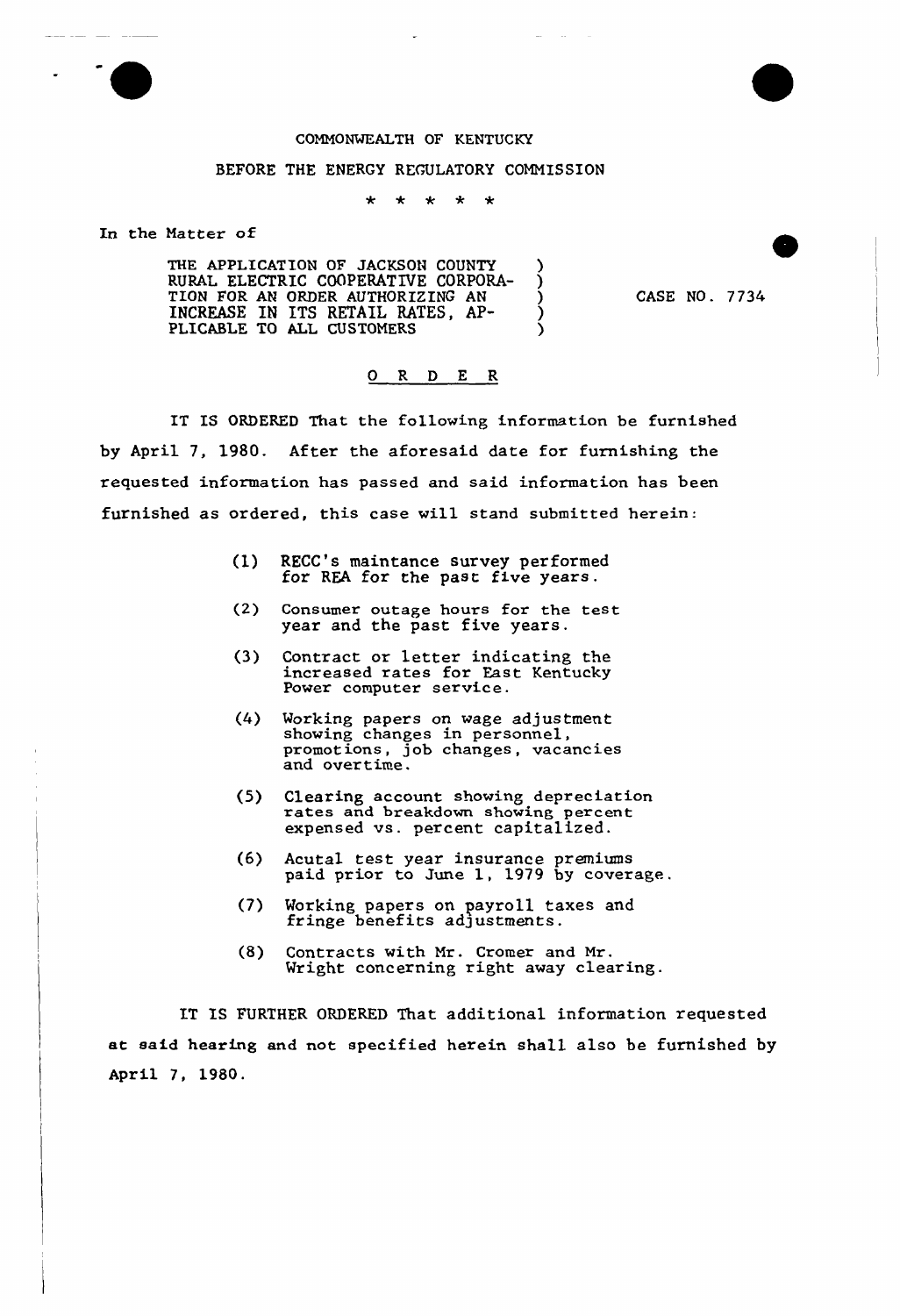

## COMMONWEALTH OF KENTUCKY

## BEFORE THE ENERGY REGULATORY COMMISSION

 $\star$  $\star$  $\star$ \* \*

In the Natter of

THE APPLICATION OF JACKSON COUNTY ) RURAL ELECTRIC COOPERATIVE CORPORA-TION FOR AN ORDER AUTHORIZING AN ) INCREASE IN ITS RETAIL RATES, AP- ) PLICABLE TO ALL CUSTOMERS

CASE NO . <sup>7</sup> 734

## 0 R <sup>D</sup> E R

IT IS ORDERED That the following information be furnished by April 7, 1980. After the aforesaid date for furnishing the requested information has passed and said information has been furnished as ordered, this case wi11 stand submitted herein:

- (1) RECC's maintance survey performed for REA for the past five years.
- (2) Consumer outage hours for the test year and the past five years.
- (3) Contxact or letter indicating the increased rates fox East Kentucky Power computer service.
- (4) Working papers on wage adjustment showing changes in personnel, promotions, job changes, vacancies and overtime.
- (5) Clearing account showing depreciation rates and breakdown showing percent expensed vs. percent capitalized.
- (6) Acutal test year insurance premium paid prior to June 1, 1979 by coverage.
- (7) Morking papers on payroll taxes and morkung pupurus pupururum
- (8) Contracts with Mr. Cxomex and Mr. Wright concerning right away clearing.

IT IS FURTHER ORDERED That additional information requested at said hearing and not specified herein sha11 also be furnished by April 7, 1980.